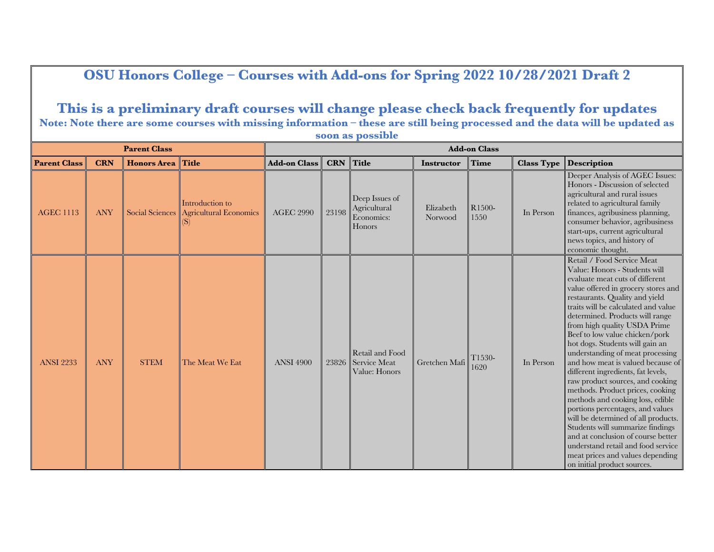**OSU Honors College – Courses with Add-ons for Spring 2022 10/28/2021 Draft 2**

**This is a preliminary draft courses will change please check back frequently for updates Note: Note there are some courses with missing information – these are still being processed and the data will be updated as soon as possible**

|                     |            | <b>Parent Class</b> |                                                        |                     |            |                                                        |                      | <b>Add-on Class</b>         |                   |                                                                                                                                                                                                                                                                                                                                                                                                                                                                                                                                                                                                                                                                                                                                                                                                                                                 |
|---------------------|------------|---------------------|--------------------------------------------------------|---------------------|------------|--------------------------------------------------------|----------------------|-----------------------------|-------------------|-------------------------------------------------------------------------------------------------------------------------------------------------------------------------------------------------------------------------------------------------------------------------------------------------------------------------------------------------------------------------------------------------------------------------------------------------------------------------------------------------------------------------------------------------------------------------------------------------------------------------------------------------------------------------------------------------------------------------------------------------------------------------------------------------------------------------------------------------|
| <b>Parent Class</b> | <b>CRN</b> | <b>Honors</b> Area  | <b>Title</b>                                           | <b>Add-on Class</b> | <b>CRN</b> | Title                                                  | <b>Instructor</b>    | Time                        | <b>Class Type</b> | <b>Description</b>                                                                                                                                                                                                                                                                                                                                                                                                                                                                                                                                                                                                                                                                                                                                                                                                                              |
| <b>AGEC 1113</b>    | <b>ANY</b> | Social Sciences     | Introduction to<br><b>Agricultural Economics</b><br>(S | <b>AGEC 2990</b>    | 23198      | Deep Issues of<br>Agricultural<br>Economics:<br>Honors | Elizabeth<br>Norwood | R <sub>1500</sub> -<br>1550 | In Person         | Deeper Analysis of AGEC Issues:<br>Honors - Discussion of selected<br>agricultural and rural issues<br>related to agricultural family<br>finances, agribusiness planning,<br>consumer behavior, agribusiness<br>start-ups, current agricultural<br>news topics, and history of<br>economic thought.                                                                                                                                                                                                                                                                                                                                                                                                                                                                                                                                             |
| <b>ANSI 2233</b>    | <b>ANY</b> | <b>STEM</b>         | The Meat We Eat                                        | <b>ANSI 4900</b>    |            | Retail and Food<br>23826 Service Meat<br>Value: Honors | Gretchen Mafi        | T <sub>1530</sub> -<br>1620 | In Person         | Retail / Food Service Meat<br>Value: Honors - Students will<br>evaluate meat cuts of different<br>value offered in grocery stores and<br>restaurants. Quality and yield<br>traits will be calculated and value<br>determined. Products will range<br>from high quality USDA Prime<br>Beef to low value chicken/pork<br>hot dogs. Students will gain an<br>understanding of meat processing<br>and how meat is valued because of<br>different ingredients, fat levels,<br>raw product sources, and cooking<br>methods. Product prices, cooking<br>methods and cooking loss, edible<br>portions percentages, and values<br>will be determined of all products.<br>Students will summarize findings<br>and at conclusion of course better<br>understand retail and food service<br>meat prices and values depending<br>on initial product sources. |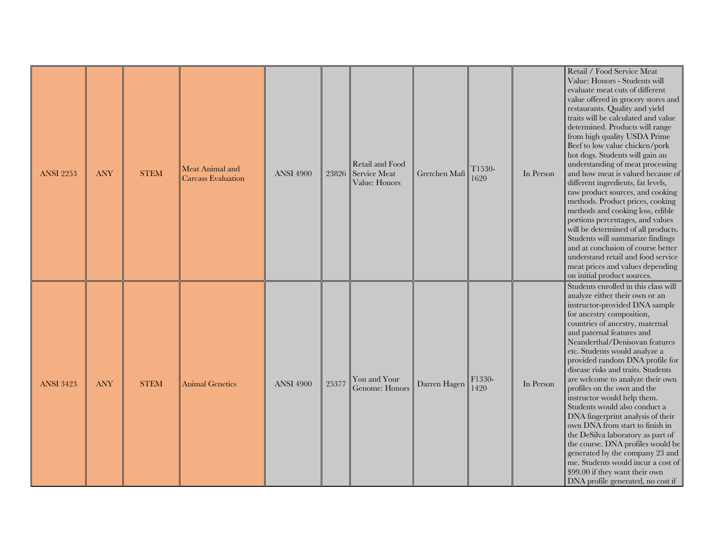| <b>ANSI 2253</b> | <b>ANY</b> | <b>STEM</b> | Meat Animal and<br><b>Carcass Evaluation</b> | <b>ANSI 4900</b> | 23826 | Retail and Food<br>Service Meat<br>Value: Honors | Gretchen Mafi | T <sub>1530</sub> -<br>1620 | In Person | Retail / Food Service Meat<br>Value: Honors - Students will<br>evaluate meat cuts of different<br>value offered in grocery stores and<br>restaurants. Quality and yield<br>traits will be calculated and value<br>determined. Products will range<br>from high quality USDA Prime<br>Beef to low value chicken/pork<br>hot dogs. Students will gain an<br>understanding of meat processing<br>and how meat is valued because of<br>different ingredients, fat levels,<br>raw product sources, and cooking<br>methods. Product prices, cooking<br>methods and cooking loss, edible<br>portions percentages, and values<br>will be determined of all products.<br>Students will summarize findings<br>and at conclusion of course better<br>understand retail and food service<br>meat prices and values depending<br>on initial product sources. |
|------------------|------------|-------------|----------------------------------------------|------------------|-------|--------------------------------------------------|---------------|-----------------------------|-----------|-------------------------------------------------------------------------------------------------------------------------------------------------------------------------------------------------------------------------------------------------------------------------------------------------------------------------------------------------------------------------------------------------------------------------------------------------------------------------------------------------------------------------------------------------------------------------------------------------------------------------------------------------------------------------------------------------------------------------------------------------------------------------------------------------------------------------------------------------|
| <b>ANSI 3423</b> | <b>ANY</b> | <b>STEM</b> | <b>Animal Genetics</b>                       | <b>ANSI 4900</b> | 25377 | You and Your<br>Genome: Honors                   | Darren Hagen  | F1330-<br>1420              | In Person | Students enrolled in this class will<br>analyze either their own or an<br>instructor-provided DNA sample<br>for ancestry composition,<br>countries of ancestry, maternal<br>and paternal features and<br>Neanderthal/Denisovan features<br>etc. Students would analyze a<br>provided random DNA profile for<br>disease risks and traits. Students<br>are welcome to analyze their own<br>profiles on the own and the<br>instructor would help them.<br>Students would also conduct a<br>DNA fingerprint analysis of their<br>own DNA from start to finish in<br>the DeSilva laboratory as part of<br>the course. DNA profiles would be<br>generated by the company 23 and<br>me. Students would incur a cost of<br>\$99.00 if they want their own<br>DNA profile generated, no cost if                                                          |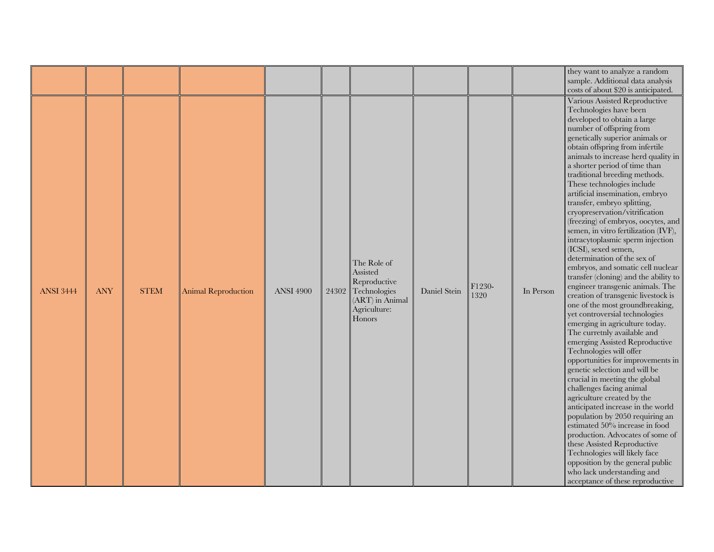|                  |            |             |                            |                  |       |                                                                                                      |              |                |           | they want to analyze a random<br>sample. Additional data analysis<br>costs of about \$20 is anticipated.                                                                                                                                                                                                                                                                                                                                                                                                                                                                                                                                                                                                                                                                                                                                                                                                                                                                                                                                                                                                                                                                                                                                                                                                                                                                                                                                                       |
|------------------|------------|-------------|----------------------------|------------------|-------|------------------------------------------------------------------------------------------------------|--------------|----------------|-----------|----------------------------------------------------------------------------------------------------------------------------------------------------------------------------------------------------------------------------------------------------------------------------------------------------------------------------------------------------------------------------------------------------------------------------------------------------------------------------------------------------------------------------------------------------------------------------------------------------------------------------------------------------------------------------------------------------------------------------------------------------------------------------------------------------------------------------------------------------------------------------------------------------------------------------------------------------------------------------------------------------------------------------------------------------------------------------------------------------------------------------------------------------------------------------------------------------------------------------------------------------------------------------------------------------------------------------------------------------------------------------------------------------------------------------------------------------------------|
| <b>ANSI 3444</b> | <b>ANY</b> | <b>STEM</b> | <b>Animal Reproduction</b> | <b>ANSI 4900</b> | 24302 | The Role of<br>Assisted<br>Reproductive<br>Technologies<br>(ART) in Animal<br>Agriculture:<br>Honors | Daniel Stein | F1230-<br>1320 | In Person | Various Assisted Reproductive<br>Technologies have been<br>developed to obtain a large<br>number of offspring from<br>genetically superior animals or<br>obtain offspring from infertile<br>animals to increase herd quality in<br>a shorter period of time than<br>traditional breeding methods.<br>These technologies include<br>artificial insemination, embryo<br>transfer, embryo splitting,<br>cryopreservation/vitrification<br>(freezing) of embryos, oocytes, and<br>semen, in vitro fertilization (IVF),<br>intracytoplasmic sperm injection<br>(ICSI), sexed semen,<br>determination of the sex of<br>embryos, and somatic cell nuclear<br>transfer (cloning) and the ability to<br>engineer transgenic animals. The<br>creation of transgenic livestock is<br>one of the most groundbreaking,<br>yet controversial technologies<br>emerging in agriculture today.<br>The curretnly available and<br>emerging Assisted Reproductive<br>Technologies will offer<br>opportunities for improvements in<br>genetic selection and will be<br>crucial in meeting the global<br>challenges facing animal<br>agriculture created by the<br>anticipated increase in the world<br>population by 2050 requiring an<br>estimated 50% increase in food<br>production. Advocates of some of<br>these Assisted Reproductive<br>Technologies will likely face<br>opposition by the general public<br>who lack understanding and<br>acceptance of these reproductive |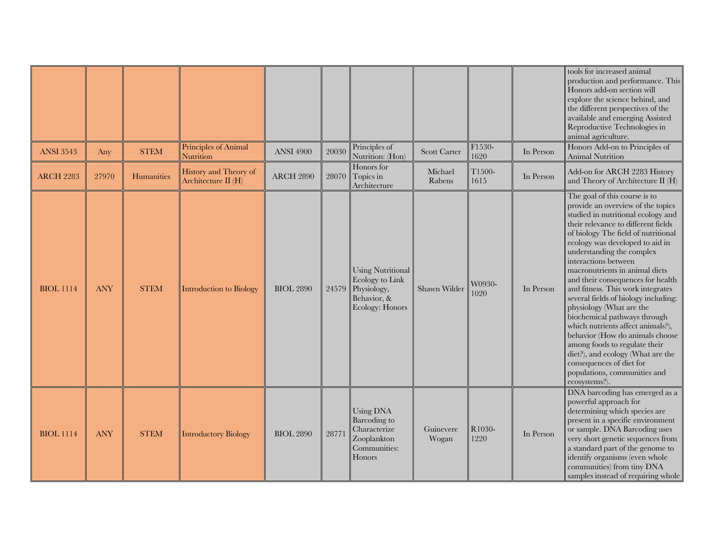|                  |            |             |                                              |                  |       |                                                                                              |                     |                |           | tools for increased animal<br>production and performance. This<br>Honors add-on section will<br>explore the science behind, and<br>the different perspectives of the<br>available and emerging Assisted<br>Reproductive Technologies in<br>animal agriculture.                                                                                                                                                                                                                                                                                                                                                                                                                                                            |
|------------------|------------|-------------|----------------------------------------------|------------------|-------|----------------------------------------------------------------------------------------------|---------------------|----------------|-----------|---------------------------------------------------------------------------------------------------------------------------------------------------------------------------------------------------------------------------------------------------------------------------------------------------------------------------------------------------------------------------------------------------------------------------------------------------------------------------------------------------------------------------------------------------------------------------------------------------------------------------------------------------------------------------------------------------------------------------|
| <b>ANSI 3543</b> | Any        | <b>STEM</b> | Principles of Animal<br><b>Nutrition</b>     | <b>ANSI 4900</b> | 20030 | Principles of<br>Nutrition: (Hon)                                                            | <b>Scott Carter</b> | F1530-<br>1620 | In Person | Honors Add-on to Principles of<br><b>Animal Nutrition</b>                                                                                                                                                                                                                                                                                                                                                                                                                                                                                                                                                                                                                                                                 |
| <b>ARCH 2283</b> | 27970      | Humanities  | History and Theory of<br>Architecture II (H) | <b>ARCH 2890</b> | 28070 | Honors for<br>Topics in<br>Architecture                                                      | Michael<br>Rabens   | T1500-<br>1615 | In Person | Add-on for ARCH 2283 History<br>and Theory of Architecture II (H)                                                                                                                                                                                                                                                                                                                                                                                                                                                                                                                                                                                                                                                         |
| <b>BIOL 1114</b> | <b>ANY</b> | <b>STEM</b> | <b>Introduction to Biology</b>               | <b>BIOL 2890</b> | 24579 | <b>Using Nutritional</b><br>Ecology to Link<br>Physiology,<br>Behavior, &<br>Ecology: Honors | Shawn Wilder        | W0930-<br>1020 | In Person | The goal of this course is to<br>provide an overview of the topics<br>studied in nutritional ecology and<br>their relevance to different fields<br>of biology The field of nutritional<br>ecology was developed to aid in<br>understanding the complex<br>interactions between<br>macronutrients in animal diets<br>and their consequences for health<br>and fitness. This work integrates<br>several fields of biology including:<br>physiology (What are the<br>biochemical pathways through<br>which nutrients affect animals?),<br>behavior (How do animals choose<br>among foods to regulate their<br>diet?), and ecology (What are the<br>consequences of diet for<br>populations, communities and<br>ecosystems?). |
| <b>BIOL 1114</b> | <b>ANY</b> | <b>STEM</b> | <b>Introductory Biology</b>                  | <b>BIOL 2890</b> | 28771 | Using DNA<br>Barcoding to<br>Characterize<br>Zooplankton<br>Communities:<br>Honors           | Guinevere<br>Wogan  | R1030-<br>1220 | In Person | DNA barcoding has emerged as a<br>powerful approach for<br>determining which species are<br>present in a specific environment<br>or sample. DNA Barcoding uses<br>very short genetic sequences from<br>a standard part of the genome to<br>identify organisms (even whole<br>communities) from tiny DNA<br>samples instead of requiring whole                                                                                                                                                                                                                                                                                                                                                                             |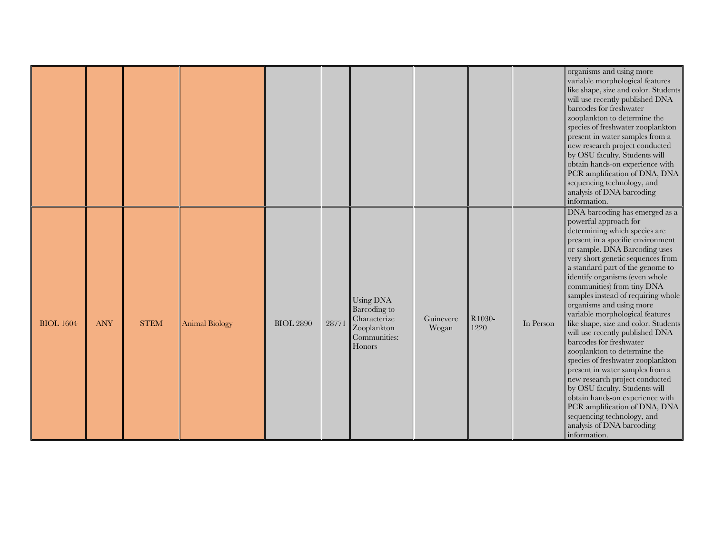|                  |            |             |                       |                  |       |                                                                                    |                    |                |           | organisms and using more<br>variable morphological features<br>like shape, size and color. Students<br>will use recently published DNA<br>barcodes for freshwater<br>zooplankton to determine the<br>species of freshwater zooplankton<br>present in water samples from a<br>new research project conducted<br>by OSU faculty. Students will<br>obtain hands-on experience with<br>PCR amplification of DNA, DNA<br>sequencing technology, and<br>analysis of DNA barcoding<br>information.                                                                                                                                                                                                                                                                                                                                                  |
|------------------|------------|-------------|-----------------------|------------------|-------|------------------------------------------------------------------------------------|--------------------|----------------|-----------|----------------------------------------------------------------------------------------------------------------------------------------------------------------------------------------------------------------------------------------------------------------------------------------------------------------------------------------------------------------------------------------------------------------------------------------------------------------------------------------------------------------------------------------------------------------------------------------------------------------------------------------------------------------------------------------------------------------------------------------------------------------------------------------------------------------------------------------------|
| <b>BIOL</b> 1604 | <b>ANY</b> | <b>STEM</b> | <b>Animal Biology</b> | <b>BIOL 2890</b> | 28771 | Using DNA<br>Barcoding to<br>Characterize<br>Zooplankton<br>Communities:<br>Honors | Guinevere<br>Wogan | R1030-<br>1220 | In Person | DNA barcoding has emerged as a<br>powerful approach for<br>determining which species are<br>present in a specific environment<br>or sample. DNA Barcoding uses<br>very short genetic sequences from<br>a standard part of the genome to<br>identify organisms (even whole<br>communities) from tiny DNA<br>samples instead of requiring whole<br>organisms and using more<br>variable morphological features<br>like shape, size and color. Students<br>will use recently published DNA<br>barcodes for freshwater<br>zooplankton to determine the<br>species of freshwater zooplankton<br>present in water samples from a<br>new research project conducted<br>by OSU faculty. Students will<br>obtain hands-on experience with<br>PCR amplification of DNA, DNA<br>sequencing technology, and<br>analysis of DNA barcoding<br>information. |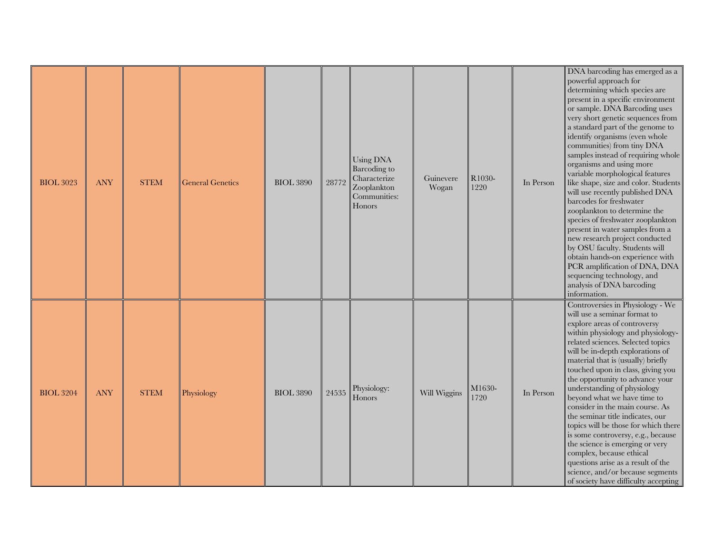| <b>BIOL 3023</b> | <b>ANY</b> | <b>STEM</b> | <b>General Genetics</b> | <b>BIOL 3890</b> | 28772 | Using DNA<br><b>Barcoding</b> to<br>Characterize<br>Zooplankton<br>Communities:<br>Honors | Guinevere<br>Wogan | R1030-<br>1220 | In Person | DNA barcoding has emerged as a<br>powerful approach for<br>determining which species are<br>present in a specific environment<br>or sample. DNA Barcoding uses<br>very short genetic sequences from<br>a standard part of the genome to<br>identify organisms (even whole<br>communities) from tiny DNA<br>samples instead of requiring whole<br>organisms and using more<br>variable morphological features<br>like shape, size and color. Students<br>will use recently published DNA<br>barcodes for freshwater<br>zooplankton to determine the<br>species of freshwater zooplankton<br>present in water samples from a<br>new research project conducted<br>by OSU faculty. Students will<br>obtain hands-on experience with<br>PCR amplification of DNA, DNA<br>sequencing technology, and<br>analysis of DNA barcoding<br>information. |
|------------------|------------|-------------|-------------------------|------------------|-------|-------------------------------------------------------------------------------------------|--------------------|----------------|-----------|----------------------------------------------------------------------------------------------------------------------------------------------------------------------------------------------------------------------------------------------------------------------------------------------------------------------------------------------------------------------------------------------------------------------------------------------------------------------------------------------------------------------------------------------------------------------------------------------------------------------------------------------------------------------------------------------------------------------------------------------------------------------------------------------------------------------------------------------|
| <b>BIOL 3204</b> | <b>ANY</b> | <b>STEM</b> | Physiology              | <b>BIOL 3890</b> | 24535 | Physiology:<br>Honors                                                                     | Will Wiggins       | M1630-<br>1720 | In Person | Controversies in Physiology - We<br>will use a seminar format to<br>explore areas of controversy<br>within physiology and physiology-<br>related sciences. Selected topics<br>will be in-depth explorations of<br>material that is (usually) briefly<br>touched upon in class, giving you<br>the opportunity to advance your<br>understanding of physiology<br>beyond what we have time to<br>consider in the main course. As<br>the seminar title indicates, our<br>topics will be those for which there<br>is some controversy, e.g., because<br>the science is emerging or very<br>complex, because ethical<br>questions arise as a result of the<br>science, and/or because segments<br>of society have difficulty accepting                                                                                                             |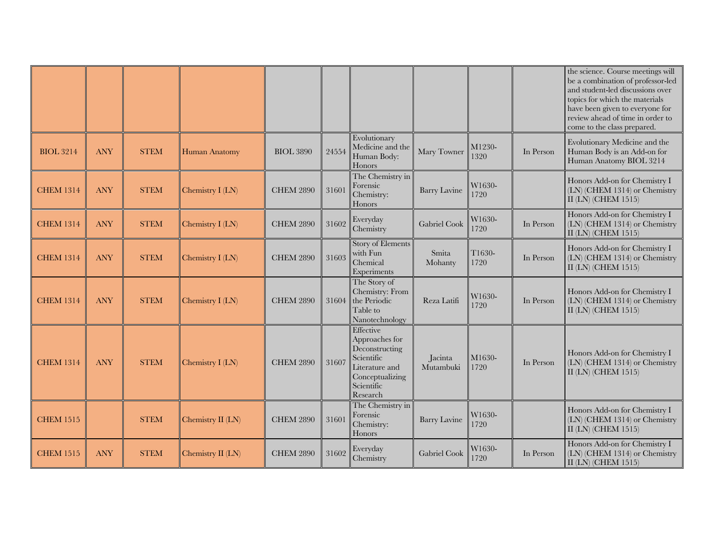|                  |            |             |                      |                  |       |                                                                                                                            |                      |                |           | the science. Course meetings will<br>be a combination of professor-led<br>and student-led discussions over<br>topics for which the materials<br>have been given to everyone for<br>review ahead of time in order to<br>come to the class prepared. |
|------------------|------------|-------------|----------------------|------------------|-------|----------------------------------------------------------------------------------------------------------------------------|----------------------|----------------|-----------|----------------------------------------------------------------------------------------------------------------------------------------------------------------------------------------------------------------------------------------------------|
| <b>BIOL 3214</b> | <b>ANY</b> | <b>STEM</b> | <b>Human Anatomy</b> | <b>BIOL 3890</b> | 24554 | Evolutionary<br>Medicine and the<br>Human Body:<br>Honors                                                                  | Mary Towner          | M1230-<br>1320 | In Person | Evolutionary Medicine and the<br>Human Body is an Add-on for<br>Human Anatomy BIOL 3214                                                                                                                                                            |
| <b>CHEM 1314</b> | <b>ANY</b> | <b>STEM</b> | Chemistry I (LN)     | <b>CHEM 2890</b> | 31601 | The Chemistry in<br>Forensic<br>Chemistry:<br>Honors                                                                       | <b>Barry Lavine</b>  | W1630-<br>1720 |           | Honors Add-on for Chemistry I<br>(LN) (CHEM 1314) or Chemistry<br>II $(LN)$ (CHEM 1515)                                                                                                                                                            |
| <b>CHEM 1314</b> | <b>ANY</b> | <b>STEM</b> | Chemistry $I(LN)$    | <b>CHEM 2890</b> | 31602 | Everyday<br>Chemistry                                                                                                      | Gabriel Cook         | W1630-<br>1720 | In Person | Honors Add-on for Chemistry I<br>(LN) (CHEM 1314) or Chemistry<br>II (LN) (CHEM 1515)                                                                                                                                                              |
| <b>CHEM 1314</b> | <b>ANY</b> | <b>STEM</b> | Chemistry I (LN)     | <b>CHEM 2890</b> | 31603 | <b>Story of Elements</b><br>with Fun<br>Chemical<br>Experiments                                                            | Smita<br>Mohanty     | T1630-<br>1720 | In Person | Honors Add-on for Chemistry I<br>(LN) (CHEM 1314) or Chemistry<br>II $(LN)$ (CHEM 1515)                                                                                                                                                            |
| <b>CHEM 1314</b> | <b>ANY</b> | <b>STEM</b> | Chemistry I (LN)     | <b>CHEM 2890</b> | 31604 | The Story of<br>Chemistry: From<br>the Periodic<br>Table to<br>Nanotechnology                                              | Reza Latifi          | W1630-<br>1720 | In Person | Honors Add-on for Chemistry I<br>(LN) (CHEM 1314) or Chemistry<br>II $(LN)$ (CHEM 1515)                                                                                                                                                            |
| <b>CHEM 1314</b> | <b>ANY</b> | <b>STEM</b> | Chemistry I (LN)     | <b>CHEM 2890</b> | 31607 | Effective<br>Approaches for<br>Deconstructing<br>Scientific<br>Literature and<br>Conceptualizing<br>Scientific<br>Research | Jacinta<br>Mutambuki | M1630-<br>1720 | In Person | Honors Add-on for Chemistry I<br>(LN) (CHEM 1314) or Chemistry<br>II (LN) (CHEM $1515$ )                                                                                                                                                           |
| <b>CHEM 1515</b> |            | <b>STEM</b> | Chemistry II (LN)    | <b>CHEM 2890</b> | 31601 | The Chemistry in<br>Forensic<br>Chemistry:<br>Honors                                                                       | <b>Barry Lavine</b>  | W1630-<br>1720 |           | Honors Add-on for Chemistry I<br>(LN) (CHEM 1314) or Chemistry<br>II $(LN)$ (CHEM 1515)                                                                                                                                                            |
| <b>CHEM 1515</b> | <b>ANY</b> | <b>STEM</b> | Chemistry II (LN)    | <b>CHEM 2890</b> | 31602 | Everyday<br>Chemistry                                                                                                      | Gabriel Cook         | W1630-<br>1720 | In Person | Honors Add-on for Chemistry I<br>(LN) (CHEM 1314) or Chemistry<br>II (LN) (CHEM 1515)                                                                                                                                                              |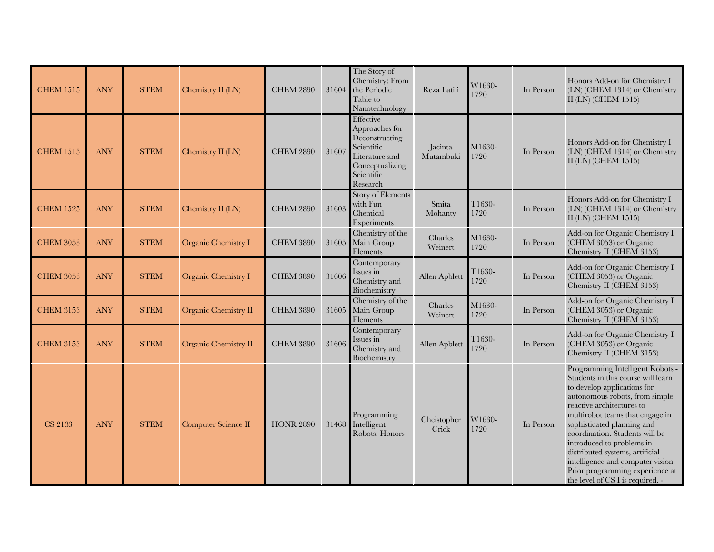| <b>CHEM 1515</b> | <b>ANY</b> | <b>STEM</b> | Chemistry II (LN)           | <b>CHEM 2890</b> | 31604 | The Story of<br>Chemistry: From<br>the Periodic<br>Table to<br>Nanotechnology                                              | Reza Latifi          | W1630-<br>1720 | In Person | Honors Add-on for Chemistry I<br>(LN) (CHEM 1314) or Chemistry<br>II (LN) (CHEM 1515)                                                                                                                                                                                                                                                                                                                                                               |
|------------------|------------|-------------|-----------------------------|------------------|-------|----------------------------------------------------------------------------------------------------------------------------|----------------------|----------------|-----------|-----------------------------------------------------------------------------------------------------------------------------------------------------------------------------------------------------------------------------------------------------------------------------------------------------------------------------------------------------------------------------------------------------------------------------------------------------|
| <b>CHEM 1515</b> | <b>ANY</b> | <b>STEM</b> | Chemistry II (LN)           | <b>CHEM 2890</b> | 31607 | Effective<br>Approaches for<br>Deconstructing<br>Scientific<br>Literature and<br>Conceptualizing<br>Scientific<br>Research | Jacinta<br>Mutambuki | M1630-<br>1720 | In Person | Honors Add-on for Chemistry I<br>(LN) (CHEM 1314) or Chemistry<br>II (LN) (CHEM 1515)                                                                                                                                                                                                                                                                                                                                                               |
| <b>CHEM 1525</b> | <b>ANY</b> | <b>STEM</b> | Chemistry II (LN)           | <b>CHEM 2890</b> | 31603 | <b>Story of Elements</b><br>with Fun<br>Chemical<br>Experiments                                                            | Smita<br>Mohanty     | T1630-<br>1720 | In Person | Honors Add-on for Chemistry I<br>(LN) (CHEM 1314) or Chemistry<br>II (LN) (CHEM 1515)                                                                                                                                                                                                                                                                                                                                                               |
| <b>CHEM 3053</b> | <b>ANY</b> | <b>STEM</b> | Organic Chemistry I         | <b>CHEM 3890</b> | 31605 | Chemistry of the<br>Main Group<br>Elements                                                                                 | Charles<br>Weinert   | M1630-<br>1720 | In Person | Add-on for Organic Chemistry I<br>(CHEM 3053) or Organic<br>Chemistry II (CHEM 3153)                                                                                                                                                                                                                                                                                                                                                                |
| <b>CHEM 3053</b> | <b>ANY</b> | <b>STEM</b> | Organic Chemistry I         | <b>CHEM 3890</b> | 31606 | Contemporary<br>Issues in<br>Chemistry and<br>Biochemistry                                                                 | Allen Apblett        | T1630-<br>1720 | In Person | Add-on for Organic Chemistry I<br>(CHEM 3053) or Organic<br>Chemistry II (CHEM 3153)                                                                                                                                                                                                                                                                                                                                                                |
| <b>CHEM 3153</b> | <b>ANY</b> | <b>STEM</b> | Organic Chemistry II        | <b>CHEM 3890</b> | 31605 | Chemistry of the<br>Main Group<br>Elements                                                                                 | Charles<br>Weinert   | M1630-<br>1720 | In Person | Add-on for Organic Chemistry I<br>(CHEM 3053) or Organic<br>Chemistry II (CHEM 3153)                                                                                                                                                                                                                                                                                                                                                                |
| <b>CHEM 3153</b> | <b>ANY</b> | <b>STEM</b> | <b>Organic Chemistry II</b> | <b>CHEM 3890</b> | 31606 | Contemporary<br>Issues in<br>Chemistry and<br>Biochemistry                                                                 | <b>Allen Apblett</b> | T1630-<br>1720 | In Person | Add-on for Organic Chemistry I<br>(CHEM 3053) or Organic<br>Chemistry II (CHEM 3153)                                                                                                                                                                                                                                                                                                                                                                |
| <b>CS 2133</b>   | <b>ANY</b> | <b>STEM</b> | Computer Science II         | <b>HONR 2890</b> | 31468 | Programming<br>Intelligent<br>Robots: Honors                                                                               | Cheistopher<br>Crick | W1630-<br>1720 | In Person | Programming Intelligent Robots -<br>Students in this course will learn<br>to develop applications for<br>autonomous robots, from simple<br>reactive architectures to<br>multirobot teams that engage in<br>sophisticated planning and<br>coordination. Students will be<br>introduced to problems in<br>distributed systems, artificial<br>intelligence and computer vision.<br>Prior programming experience at<br>the level of CS I is required. - |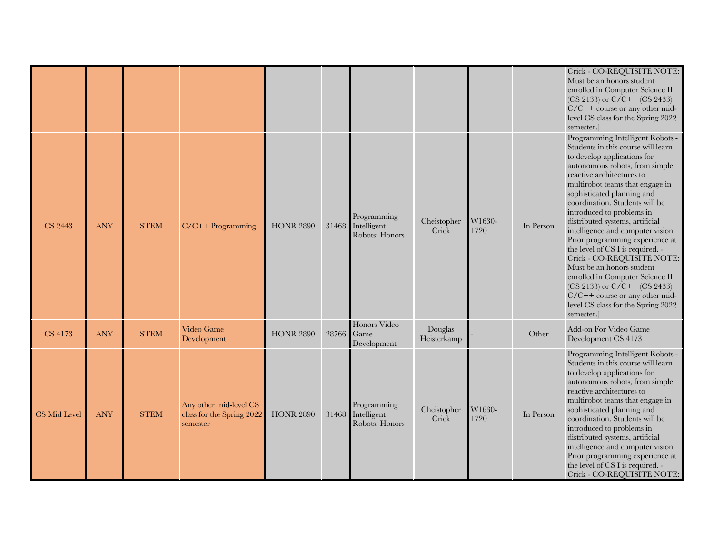|                     |            |             |                                                                 |                  |       |                                                    |                        |                |           | Crick - CO-REQUISITE NOTE:<br>Must be an honors student<br>enrolled in Computer Science II<br>$(CS 2133)$ or $C/C++ (CS 2433)$<br>$C/C++$ course or any other mid-<br>level CS class for the Spring 2022<br>semester.                                                                                                                                                                                                                                                                                                                                                                                                                                                         |
|---------------------|------------|-------------|-----------------------------------------------------------------|------------------|-------|----------------------------------------------------|------------------------|----------------|-----------|-------------------------------------------------------------------------------------------------------------------------------------------------------------------------------------------------------------------------------------------------------------------------------------------------------------------------------------------------------------------------------------------------------------------------------------------------------------------------------------------------------------------------------------------------------------------------------------------------------------------------------------------------------------------------------|
| <b>CS 2443</b>      | <b>ANY</b> | <b>STEM</b> | $C/C++$ Programming                                             | <b>HONR 2890</b> |       | Programming<br>31468 Intelligent<br>Robots: Honors | Cheistopher<br>Crick   | W1630-<br>1720 | In Person | Programming Intelligent Robots -<br>Students in this course will learn<br>to develop applications for<br>autonomous robots, from simple<br>reactive architectures to<br>multirobot teams that engage in<br>sophisticated planning and<br>coordination. Students will be<br>introduced to problems in<br>distributed systems, artificial<br>intelligence and computer vision.<br>Prior programming experience at<br>the level of CS I is required. -<br>Crick - CO-REQUISITE NOTE:<br>Must be an honors student<br>enrolled in Computer Science II<br>$(CS 2133)$ or $C/C++ (CS 2433)$<br>$C/C++$ course or any other mid-<br>level CS class for the Spring 2022<br>semester.] |
| <b>CS</b> 4173      | <b>ANY</b> | <b>STEM</b> | Video Game<br>Development                                       | <b>HONR 2890</b> | 28766 | Honors Video<br>Game<br>Development                | Douglas<br>Heisterkamp |                | Other     | Add-on For Video Game<br>Development CS 4173                                                                                                                                                                                                                                                                                                                                                                                                                                                                                                                                                                                                                                  |
| <b>CS Mid Level</b> | <b>ANY</b> | <b>STEM</b> | Any other mid-level CS<br>class for the Spring 2022<br>semester | <b>HONR 2890</b> |       | Programming<br>31468 Intelligent<br>Robots: Honors | Cheistopher<br>Crick   | W1630-<br>1720 | In Person | Programming Intelligent Robots -<br>Students in this course will learn<br>to develop applications for<br>autonomous robots, from simple<br>reactive architectures to<br>multirobot teams that engage in<br>sophisticated planning and<br>coordination. Students will be<br>introduced to problems in<br>distributed systems, artificial<br>intelligence and computer vision.<br>Prior programming experience at<br>the level of CS I is required. -<br>Crick - CO-REQUISITE NOTE:                                                                                                                                                                                             |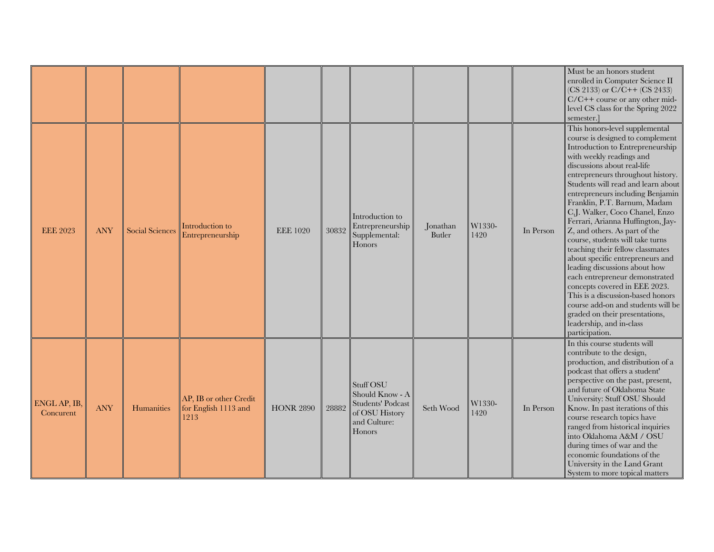|                           |            |                        |                                                        |                  |       |                                                                                                      |                           |                |           | Must be an honors student<br>enrolled in Computer Science II<br>(CS 2133) or $C/C++$ (CS 2433)<br>$C/C++$ course or any other mid-<br>level CS class for the Spring 2022<br>semester.]                                                                                                                                                                                                                                                                                                                                                                                                                                                                                                                                                                                                              |
|---------------------------|------------|------------------------|--------------------------------------------------------|------------------|-------|------------------------------------------------------------------------------------------------------|---------------------------|----------------|-----------|-----------------------------------------------------------------------------------------------------------------------------------------------------------------------------------------------------------------------------------------------------------------------------------------------------------------------------------------------------------------------------------------------------------------------------------------------------------------------------------------------------------------------------------------------------------------------------------------------------------------------------------------------------------------------------------------------------------------------------------------------------------------------------------------------------|
| <b>EEE 2023</b>           | <b>ANY</b> | <b>Social Sciences</b> | Introduction to<br>Entrepreneurship                    | <b>EEE 1020</b>  | 30832 | Introduction to<br>Entrepreneurship<br>Supplemental:<br>Honors                                       | Jonathan<br><b>Butler</b> | W1330-<br>1420 | In Person | This honors-level supplemental<br>course is designed to complement<br>Introduction to Entrepreneurship<br>with weekly readings and<br>discussions about real-life<br>entrepreneurs throughout history.<br>Students will read and learn about<br>entrepreneurs including Benjamin<br>Franklin, P.T. Barnum, Madam<br>C.J. Walker, Coco Chanel, Enzo<br>Ferrari, Arianna Huffington, Jay-<br>Z, and others. As part of the<br>course, students will take turns<br>teaching their fellow classmates<br>about specific entrepreneurs and<br>leading discussions about how<br>each entrepreneur demonstrated<br>concepts covered in EEE 2023.<br>This is a discussion-based honors<br>course add-on and students will be<br>graded on their presentations,<br>leadership, and in-class<br>participation. |
| ENGL AP, IB.<br>Concurent | <b>ANY</b> | Humanities             | AP, IB or other Credit<br>for English 1113 and<br>1213 | <b>HONR 2890</b> | 28882 | Stuff OSU<br>Should Know - A<br><b>Students' Podcast</b><br>of OSU History<br>and Culture:<br>Honors | Seth Wood                 | W1330-<br>1420 | In Person | In this course students will<br>contribute to the design,<br>production, and distribution of a<br>podcast that offers a student'<br>perspective on the past, present,<br>and future of Oklahoma State<br>University: Stuff OSU Should<br>Know. In past iterations of this<br>course research topics have<br>ranged from historical inquiries<br>into Oklahoma A&M / OSU<br>during times of war and the<br>economic foundations of the<br>University in the Land Grant<br>System to more topical matters                                                                                                                                                                                                                                                                                             |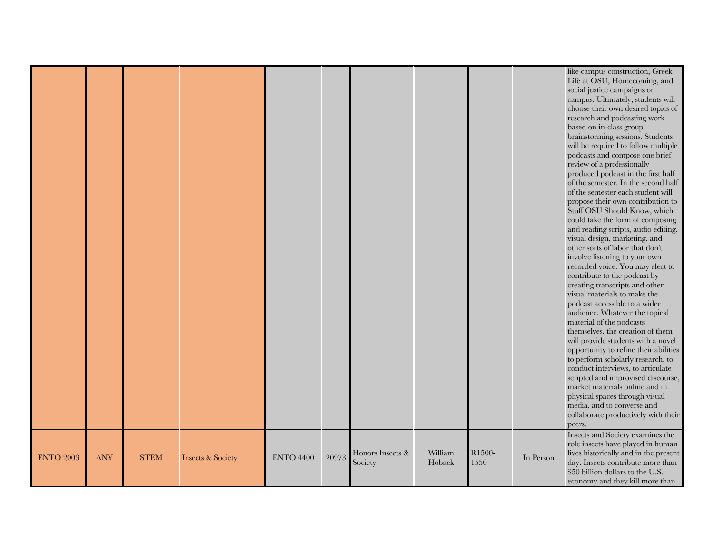|                  |            |             |                              |                  |       |                             |                   |                |           | like campus construction, Greek<br>Life at OSU, Homecoming, and<br>social justice campaigns on<br>campus. Ultimately, students will<br>choose their own desired topics of<br>research and podcasting work<br>based on in-class group<br>brainstorming sessions. Students<br>will be required to follow multiple<br>podcasts and compose one brief<br>review of a professionally<br>produced podcast in the first half<br>of the semester. In the second half<br>of the semester each student will<br>propose their own contribution to<br>Stuff OSU Should Know, which<br>could take the form of composing<br>and reading scripts, audio editing,<br>visual design, marketing, and<br>other sorts of labor that don't<br>involve listening to your own<br>recorded voice. You may elect to<br>contribute to the podcast by<br>creating transcripts and other<br>visual materials to make the<br>podcast accessible to a wider<br>audience. Whatever the topical<br>material of the podcasts<br>themselves, the creation of them<br>will provide students with a novel<br>opportunity to refine their abilities<br>to perform scholarly research, to<br>conduct interviews, to articulate<br>scripted and improvised discourse,<br>market materials online and in<br>physical spaces through visual<br>media, and to converse and<br>collaborate productively with their<br>peers. |
|------------------|------------|-------------|------------------------------|------------------|-------|-----------------------------|-------------------|----------------|-----------|-----------------------------------------------------------------------------------------------------------------------------------------------------------------------------------------------------------------------------------------------------------------------------------------------------------------------------------------------------------------------------------------------------------------------------------------------------------------------------------------------------------------------------------------------------------------------------------------------------------------------------------------------------------------------------------------------------------------------------------------------------------------------------------------------------------------------------------------------------------------------------------------------------------------------------------------------------------------------------------------------------------------------------------------------------------------------------------------------------------------------------------------------------------------------------------------------------------------------------------------------------------------------------------------------------------------------------------------------------------------------------------|
| <b>ENTO 2003</b> | <b>ANY</b> | <b>STEM</b> | <b>Insects &amp; Society</b> | <b>ENTO 4400</b> | 20973 | Honors Insects &<br>Society | William<br>Hoback | R1500-<br>1550 | In Person | Insects and Society examines the<br>role insects have played in human<br>lives historically and in the present<br>day. Insects contribute more than<br>\$50 billion dollars to the U.S.<br>economy and they kill more than                                                                                                                                                                                                                                                                                                                                                                                                                                                                                                                                                                                                                                                                                                                                                                                                                                                                                                                                                                                                                                                                                                                                                        |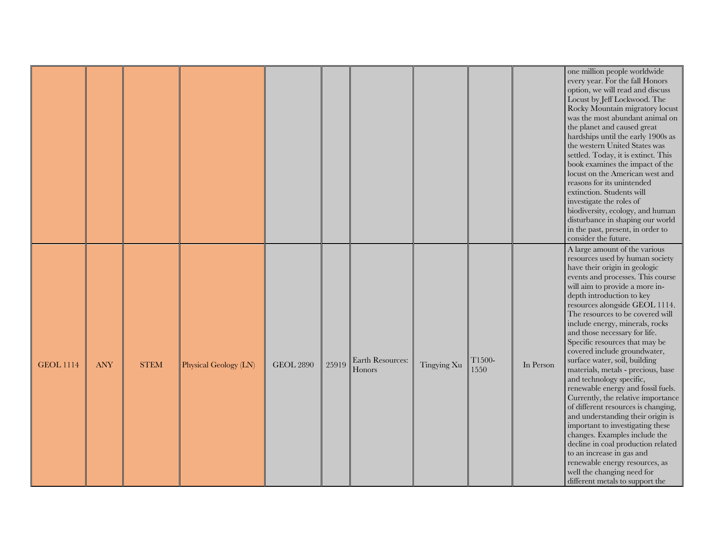|                  |            |             |                       |                  |       |                            |             |                |           | one million people worldwide<br>every year. For the fall Honors<br>option, we will read and discuss<br>Locust by Jeff Lockwood. The<br>Rocky Mountain migratory locust<br>was the most abundant animal on<br>the planet and caused great<br>hardships until the early 1900s as<br>the western United States was<br>settled. Today, it is extinct. This<br>book examines the impact of the<br>locust on the American west and<br>reasons for its unintended<br>extinction. Students will<br>investigate the roles of<br>biodiversity, ecology, and human<br>disturbance in shaping our world<br>in the past, present, in order to<br>consider the future.                                                                                                                                                                                                                                                                |
|------------------|------------|-------------|-----------------------|------------------|-------|----------------------------|-------------|----------------|-----------|-------------------------------------------------------------------------------------------------------------------------------------------------------------------------------------------------------------------------------------------------------------------------------------------------------------------------------------------------------------------------------------------------------------------------------------------------------------------------------------------------------------------------------------------------------------------------------------------------------------------------------------------------------------------------------------------------------------------------------------------------------------------------------------------------------------------------------------------------------------------------------------------------------------------------|
| <b>GEOL 1114</b> | <b>ANY</b> | <b>STEM</b> | Physical Geology (LN) | <b>GEOL 2890</b> | 25919 | Earth Resources:<br>Honors | Tingying Xu | T1500-<br>1550 | In Person | A large amount of the various<br>resources used by human society<br>have their origin in geologic<br>events and processes. This course<br>will aim to provide a more in-<br>depth introduction to key<br>resources alongside GEOL 1114.<br>The resources to be covered will<br>include energy, minerals, rocks<br>and those necessary for life.<br>Specific resources that may be<br>covered include groundwater,<br>surface water, soil, building<br>materials, metals - precious, base<br>and technology specific,<br>renewable energy and fossil fuels.<br>Currently, the relative importance<br>of different resources is changing,<br>and understanding their origin is<br>important to investigating these<br>changes. Examples include the<br>decline in coal production related<br>to an increase in gas and<br>renewable energy resources, as<br>well the changing need for<br>different metals to support the |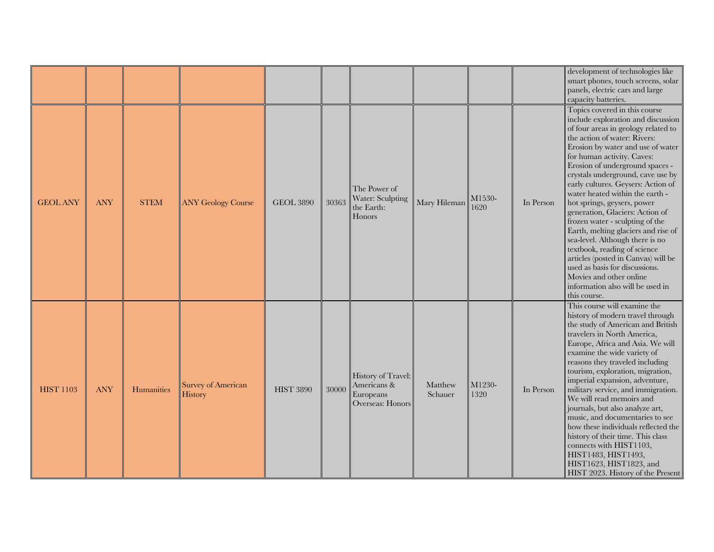|                  |            |             |                                      |                  |       |                                                                    |                    |                |           | development of technologies like<br>smart phones, touch screens, solar<br>panels, electric cars and large<br>capacity batteries.                                                                                                                                                                                                                                                                                                                                                                                                                                                                                                                                                                                                      |
|------------------|------------|-------------|--------------------------------------|------------------|-------|--------------------------------------------------------------------|--------------------|----------------|-----------|---------------------------------------------------------------------------------------------------------------------------------------------------------------------------------------------------------------------------------------------------------------------------------------------------------------------------------------------------------------------------------------------------------------------------------------------------------------------------------------------------------------------------------------------------------------------------------------------------------------------------------------------------------------------------------------------------------------------------------------|
| <b>GEOL ANY</b>  | <b>ANY</b> | <b>STEM</b> | <b>ANY Geology Course</b>            | <b>GEOL 3890</b> | 30363 | The Power of<br>Water: Sculpting<br>the Earth:<br>Honors           | Mary Hileman       | M1530-<br>1620 | In Person | Topics covered in this course<br>include exploration and discussion<br>of four areas in geology related to<br>the action of water: Rivers:<br>Erosion by water and use of water<br>for human activity. Caves:<br>Erosion of underground spaces -<br>crystals underground, cave use by<br>early cultures. Geysers: Action of<br>water heated within the earth -<br>hot springs, geysers, power<br>generation, Glaciers: Action of<br>frozen water - sculpting of the<br>Earth, melting glaciers and rise of<br>sea-level. Although there is no<br>textbook, reading of science<br>articles (posted in Canvas) will be<br>used as basis for discussions.<br>Movies and other online<br>information also will be used in<br>this course. |
| <b>HIST 1103</b> | <b>ANY</b> | Humanities  | <b>Survey of American</b><br>History | <b>HIST 3890</b> | 30000 | History of Travel:<br>Americans &<br>Europeans<br>Overseas: Honors | Matthew<br>Schauer | M1230-<br>1320 | In Person | This course will examine the<br>history of modern travel through<br>the study of American and British<br>travelers in North America,<br>Europe, Africa and Asia. We will<br>examine the wide variety of<br>reasons they traveled including<br>tourism, exploration, migration,<br>imperial expansion, adventure,<br>military service, and immigration.<br>We will read memoirs and<br>journals, but also analyze art,<br>music, and documentaries to see<br>how these individuals reflected the<br>history of their time. This class<br>connects with HIST1103,<br>HIST1483, HIST1493,<br>HIST1623, HIST1823, and<br>HIST 2023. History of the Present                                                                                |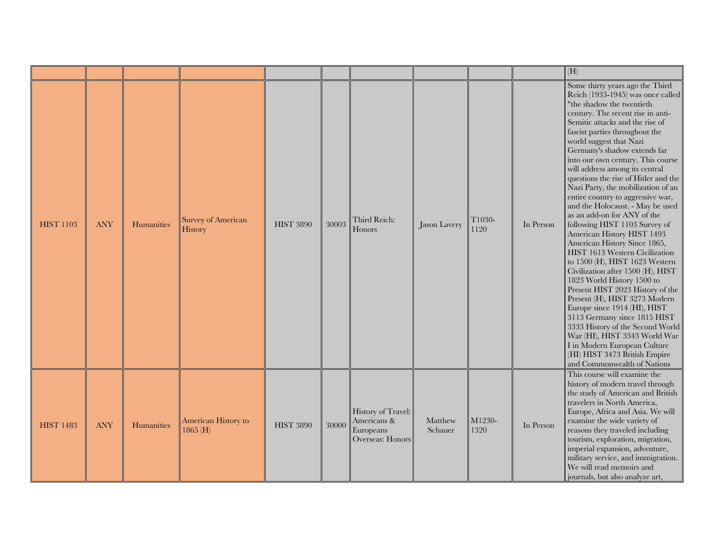|                  |            |                   |                                      |                  |       |                                                                    |                     |                |           | (H)                                                                                                                                                                                                                                                                                                                                                                                                                                                                                                                                                                                                                                                                                                                                                                                                                                                                                                                                                                                                                                                                                 |
|------------------|------------|-------------------|--------------------------------------|------------------|-------|--------------------------------------------------------------------|---------------------|----------------|-----------|-------------------------------------------------------------------------------------------------------------------------------------------------------------------------------------------------------------------------------------------------------------------------------------------------------------------------------------------------------------------------------------------------------------------------------------------------------------------------------------------------------------------------------------------------------------------------------------------------------------------------------------------------------------------------------------------------------------------------------------------------------------------------------------------------------------------------------------------------------------------------------------------------------------------------------------------------------------------------------------------------------------------------------------------------------------------------------------|
| <b>HIST 1103</b> | <b>ANY</b> | <b>Humanities</b> | <b>Survey of American</b><br>History | <b>HIST 3890</b> | 30003 | Third Reich:<br>Honors                                             | <b>Jason Lavery</b> | T1030-<br>1120 | In Person | Some thirty years ago the Third<br>Reich (1933-1945) was once called<br>"the shadow the twentieth<br>century. The recent rise in anti-<br>Semitic attacks and the rise of<br>fascist parties throughout the<br>world suggest that Nazi<br>Germany's shadow extends far<br>into our own century. This course<br>will address among its central<br>questions the rise of Hitler and the<br>Nazi Party, the mobilization of an<br>entire country to aggressive war,<br>and the Holocaust. - May be used<br>as an add-on for ANY of the<br>following HIST 1103 Survey of<br>American History HIST 1493<br>American History Since 1865,<br>HIST 1613 Western Civilization<br>to 1500 (H), HIST 1623 Western<br>Civilization after 1500 (H), HIST<br>1823 World History 1500 to<br>Present HIST 2023 History of the<br>Present (H), HIST 3273 Modern<br>Europe since 1914 (HI), HIST<br>3113 Germany since 1815 HIST<br>3333 History of the Second World<br>War (HI), HIST 3343 World War<br>I in Modern European Culture<br>(HI) HIST 3473 British Empire<br>and Commonwealth of Nations |
| <b>HIST 1483</b> | <b>ANY</b> | Humanities        | American History to<br>1865(H)       | <b>HIST 3890</b> | 30000 | History of Travel:<br>Americans &<br>Europeans<br>Overseas: Honors | Matthew<br>Schauer  | M1230-<br>1320 | In Person | This course will examine the<br>history of modern travel through<br>the study of American and British<br>travelers in North America,<br>Europe, Africa and Asia. We will<br>examine the wide variety of<br>reasons they traveled including<br>tourism, exploration, migration,<br>imperial expansion, adventure,<br>military service, and immigration.<br>We will read memoirs and<br>journals, but also analyze art,                                                                                                                                                                                                                                                                                                                                                                                                                                                                                                                                                                                                                                                               |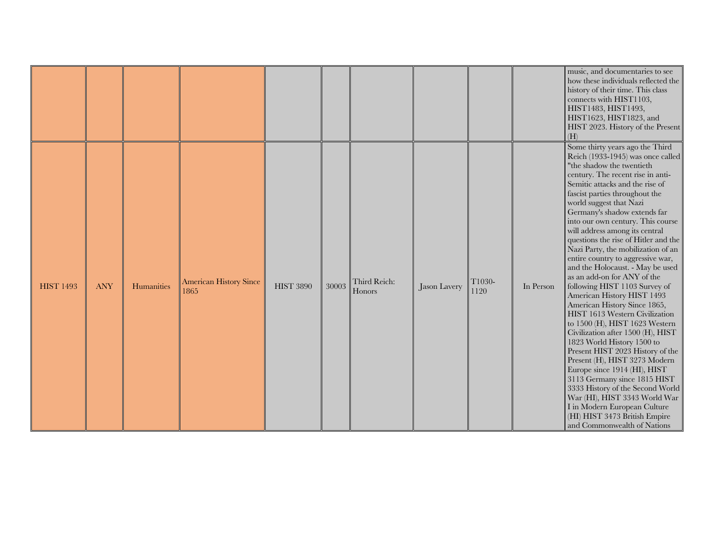|                  |            |            |                                       |                  |       |                        |              |                |           | music, and documentaries to see<br>how these individuals reflected the<br>history of their time. This class<br>connects with HIST1103,<br>HIST1483, HIST1493,<br>HIST1623, HIST1823, and<br>HIST 2023. History of the Present<br>(H)                                                                                                                                                                                                                                                                                                                                                                                                                                                                                                                                                                                                                                                                                                                                                                                                                                                |
|------------------|------------|------------|---------------------------------------|------------------|-------|------------------------|--------------|----------------|-----------|-------------------------------------------------------------------------------------------------------------------------------------------------------------------------------------------------------------------------------------------------------------------------------------------------------------------------------------------------------------------------------------------------------------------------------------------------------------------------------------------------------------------------------------------------------------------------------------------------------------------------------------------------------------------------------------------------------------------------------------------------------------------------------------------------------------------------------------------------------------------------------------------------------------------------------------------------------------------------------------------------------------------------------------------------------------------------------------|
| <b>HIST 1493</b> | <b>ANY</b> | Humanities | <b>American History Since</b><br>1865 | <b>HIST 3890</b> | 30003 | Third Reich:<br>Honors | Jason Lavery | T1030-<br>1120 | In Person | Some thirty years ago the Third<br>Reich (1933-1945) was once called<br>"the shadow the twentieth<br>century. The recent rise in anti-<br>Semitic attacks and the rise of<br>fascist parties throughout the<br>world suggest that Nazi<br>Germany's shadow extends far<br>into our own century. This course<br>will address among its central<br>questions the rise of Hitler and the<br>Nazi Party, the mobilization of an<br>entire country to aggressive war,<br>and the Holocaust. - May be used<br>as an add-on for ANY of the<br>following HIST 1103 Survey of<br>American History HIST 1493<br>American History Since 1865,<br>HIST 1613 Western Civilization<br>to 1500 (H), HIST 1623 Western<br>Civilization after 1500 (H), HIST<br>1823 World History 1500 to<br>Present HIST 2023 History of the<br>Present (H), HIST 3273 Modern<br>Europe since 1914 (HI), HIST<br>3113 Germany since 1815 HIST<br>3333 History of the Second World<br>War (HI), HIST 3343 World War<br>I in Modern European Culture<br>(HI) HIST 3473 British Empire<br>and Commonwealth of Nations |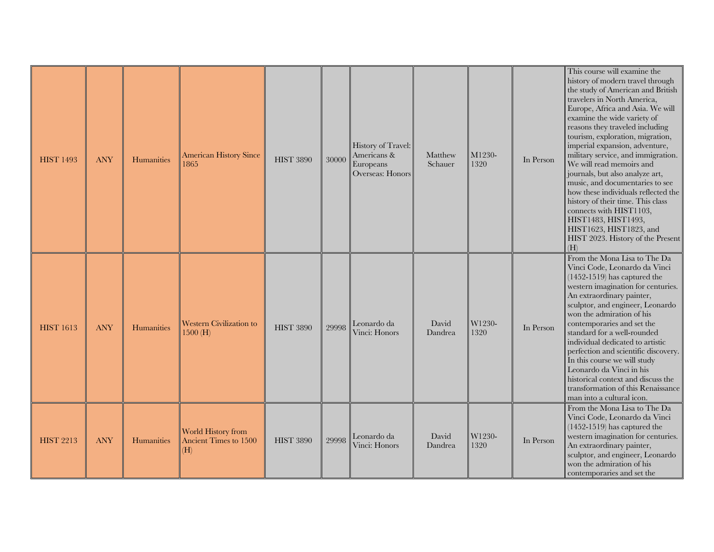| <b>HIST 1493</b> | <b>ANY</b> | Humanities | <b>American History Since</b><br>1865                     | <b>HIST 3890</b> | 30000 | History of Travel:<br>Americans &<br>Europeans<br>Overseas: Honors | Matthew<br>Schauer | M1230-<br>1320 | In Person | This course will examine the<br>history of modern travel through<br>the study of American and British<br>travelers in North America,<br>Europe, Africa and Asia. We will<br>examine the wide variety of<br>reasons they traveled including<br>tourism, exploration, migration,<br>imperial expansion, adventure,<br>military service, and immigration.<br>We will read memoirs and<br>journals, but also analyze art,<br>music, and documentaries to see<br>how these individuals reflected the<br>history of their time. This class<br>connects with HIST1103,<br>HIST1483, HIST1493,<br>HIST1623, HIST1823, and<br>HIST 2023. History of the Present<br>(H) |
|------------------|------------|------------|-----------------------------------------------------------|------------------|-------|--------------------------------------------------------------------|--------------------|----------------|-----------|---------------------------------------------------------------------------------------------------------------------------------------------------------------------------------------------------------------------------------------------------------------------------------------------------------------------------------------------------------------------------------------------------------------------------------------------------------------------------------------------------------------------------------------------------------------------------------------------------------------------------------------------------------------|
| <b>HIST 1613</b> | <b>ANY</b> | Humanities | Western Civilization to<br>1500 (H)                       | <b>HIST 3890</b> | 29998 | Leonardo da<br>Vinci: Honors                                       | David<br>Dandrea   | W1230-<br>1320 | In Person | From the Mona Lisa to The Da<br>Vinci Code, Leonardo da Vinci<br>$(1452-1519)$ has captured the<br>western imagination for centuries.<br>An extraordinary painter,<br>sculptor, and engineer, Leonardo<br>won the admiration of his<br>contemporaries and set the<br>standard for a well-rounded<br>individual dedicated to artistic<br>perfection and scientific discovery.<br>In this course we will study<br>Leonardo da Vinci in his<br>historical context and discuss the<br>transformation of this Renaissance<br>man into a cultural icon.                                                                                                             |
| <b>HIST 2213</b> | <b>ANY</b> | Humanities | <b>World History from</b><br>Ancient Times to 1500<br>(H) | <b>HIST 3890</b> | 29998 | Leonardo da<br>Vinci: Honors                                       | David<br>Dandrea   | W1230-<br>1320 | In Person | From the Mona Lisa to The Da<br>Vinci Code, Leonardo da Vinci<br>$(1452-1519)$ has captured the<br>western imagination for centuries.<br>An extraordinary painter,<br>sculptor, and engineer, Leonardo<br>won the admiration of his<br>contemporaries and set the                                                                                                                                                                                                                                                                                                                                                                                             |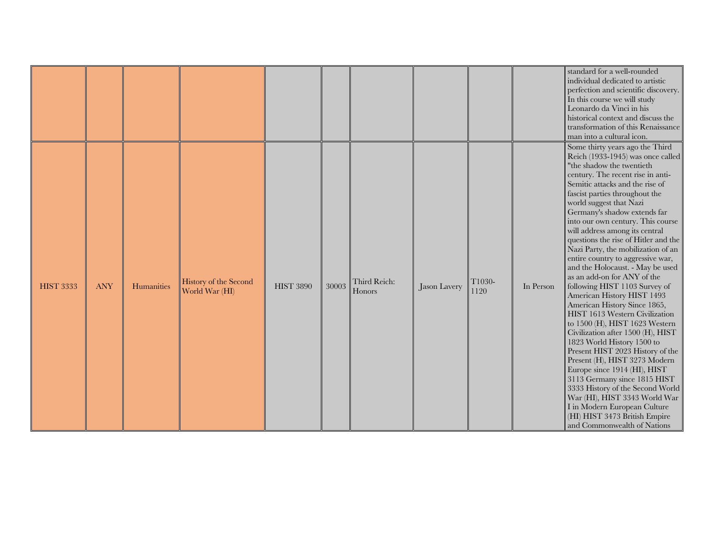|                  |            |            |                                                |                  |       |                        |              |                |           | standard for a well-rounded<br>individual dedicated to artistic<br>perfection and scientific discovery.<br>In this course we will study<br>Leonardo da Vinci in his<br>historical context and discuss the<br>transformation of this Renaissance<br>man into a cultural icon.                                                                                                                                                                                                                                                                                                                                                                                                                                                                                                                                                                                                                                                                                                                                                                                                        |
|------------------|------------|------------|------------------------------------------------|------------------|-------|------------------------|--------------|----------------|-----------|-------------------------------------------------------------------------------------------------------------------------------------------------------------------------------------------------------------------------------------------------------------------------------------------------------------------------------------------------------------------------------------------------------------------------------------------------------------------------------------------------------------------------------------------------------------------------------------------------------------------------------------------------------------------------------------------------------------------------------------------------------------------------------------------------------------------------------------------------------------------------------------------------------------------------------------------------------------------------------------------------------------------------------------------------------------------------------------|
| <b>HIST 3333</b> | <b>ANY</b> | Humanities | <b>History of the Second</b><br>World War (HI) | <b>HIST 3890</b> | 30003 | Third Reich:<br>Honors | Jason Lavery | T1030-<br>1120 | In Person | Some thirty years ago the Third<br>Reich (1933-1945) was once called<br>"the shadow the twentieth<br>century. The recent rise in anti-<br>Semitic attacks and the rise of<br>fascist parties throughout the<br>world suggest that Nazi<br>Germany's shadow extends far<br>into our own century. This course<br>will address among its central<br>questions the rise of Hitler and the<br>Nazi Party, the mobilization of an<br>entire country to aggressive war,<br>and the Holocaust. - May be used<br>as an add-on for ANY of the<br>following HIST 1103 Survey of<br>American History HIST 1493<br>American History Since 1865,<br>HIST 1613 Western Civilization<br>to 1500 (H), HIST 1623 Western<br>Civilization after 1500 (H), HIST<br>1823 World History 1500 to<br>Present HIST 2023 History of the<br>Present (H), HIST 3273 Modern<br>Europe since 1914 (HI), HIST<br>3113 Germany since 1815 HIST<br>3333 History of the Second World<br>War (HI), HIST 3343 World War<br>I in Modern European Culture<br>(HI) HIST 3473 British Empire<br>and Commonwealth of Nations |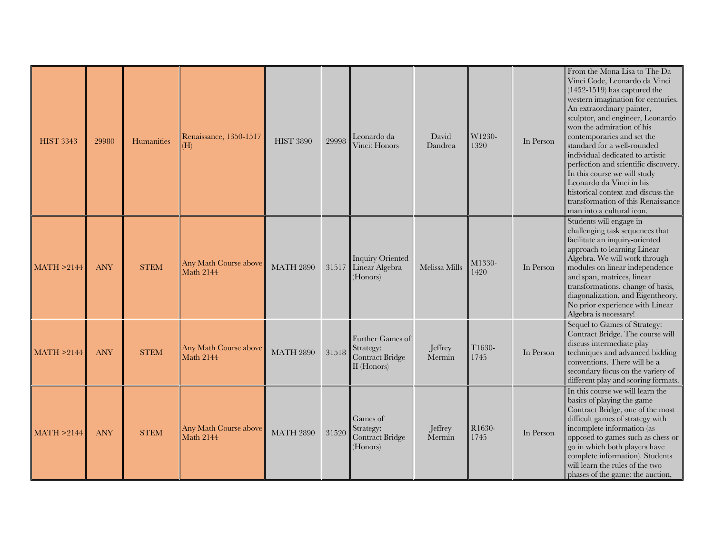| <b>HIST 3343</b> | 29980      | Humanities  | Renaissance, 1350-1517<br>H)              | <b>HIST 3890</b> | 29998 | Leonardo da<br>Vinci: Honors                                             | David<br>Dandrea  | W1230-<br>1320 | In Person | From the Mona Lisa to The Da<br>Vinci Code, Leonardo da Vinci<br>$(1452-1519)$ has captured the<br>western imagination for centuries.<br>An extraordinary painter,<br>sculptor, and engineer, Leonardo<br>won the admiration of his<br>contemporaries and set the<br>standard for a well-rounded<br>individual dedicated to artistic<br>perfection and scientific discovery.<br>In this course we will study<br>Leonardo da Vinci in his<br>historical context and discuss the<br>transformation of this Renaissance<br>man into a cultural icon. |
|------------------|------------|-------------|-------------------------------------------|------------------|-------|--------------------------------------------------------------------------|-------------------|----------------|-----------|---------------------------------------------------------------------------------------------------------------------------------------------------------------------------------------------------------------------------------------------------------------------------------------------------------------------------------------------------------------------------------------------------------------------------------------------------------------------------------------------------------------------------------------------------|
| MATH > 2144      | <b>ANY</b> | <b>STEM</b> | Any Math Course above<br><b>Math 2144</b> | <b>MATH 2890</b> | 31517 | <b>Inquiry Oriented</b><br>Linear Algebra<br>(Honors)                    | Melissa Mills     | M1330-<br>1420 | In Person | Students will engage in<br>challenging task sequences that<br>facilitate an inquiry-oriented<br>approach to learning Linear<br>Algebra. We will work through<br>modules on linear independence<br>and span, matrices, linear<br>transformations, change of basis,<br>diagonalization, and Eigentheory.<br>No prior experience with Linear<br>Algebra is necessary!                                                                                                                                                                                |
| MATH > 2144      | <b>ANY</b> | <b>STEM</b> | Any Math Course above<br><b>Math 2144</b> | <b>MATH 2890</b> | 31518 | Further Games of<br>Strategy:<br><b>Contract Bridge</b><br>$II$ (Honors) | Jeffrey<br>Mermin | T1630-<br>1745 | In Person | Sequel to Games of Strategy:<br>Contract Bridge. The course will<br>discuss intermediate play<br>techniques and advanced bidding<br>conventions. There will be a<br>secondary focus on the variety of<br>different play and scoring formats.                                                                                                                                                                                                                                                                                                      |
| MATH > 2144      | <b>ANY</b> | <b>STEM</b> | Any Math Course above<br><b>Math 2144</b> | <b>MATH 2890</b> | 31520 | Games of<br>Strategy:<br><b>Contract Bridge</b><br>(Honors)              | Jeffrey<br>Mermin | R1630-<br>1745 | In Person | In this course we will learn the<br>basics of playing the game<br>Contract Bridge, one of the most<br>difficult games of strategy with<br>incomplete information (as<br>opposed to games such as chess or<br>go in which both players have<br>complete information). Students<br>will learn the rules of the two<br>phases of the game: the auction,                                                                                                                                                                                              |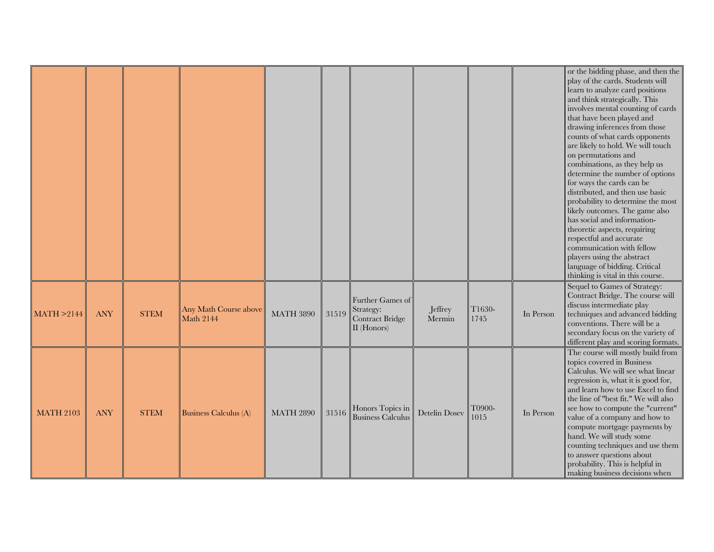|                  |            |             |                                           |                  |       |                                                                        |                   |                |           | or the bidding phase, and then the<br>play of the cards. Students will<br>learn to analyze card positions<br>and think strategically. This<br>involves mental counting of cards<br>that have been played and<br>drawing inferences from those<br>counts of what cards opponents<br>are likely to hold. We will touch<br>on permutations and<br>combinations, as they help us<br>determine the number of options<br>for ways the cards can be<br>distributed, and then use basic<br>probability to determine the most<br>likely outcomes. The game also<br>has social and information-<br>theoretic aspects, requiring<br>respectful and accurate<br>communication with fellow<br>players using the abstract<br>language of bidding. Critical |
|------------------|------------|-------------|-------------------------------------------|------------------|-------|------------------------------------------------------------------------|-------------------|----------------|-----------|----------------------------------------------------------------------------------------------------------------------------------------------------------------------------------------------------------------------------------------------------------------------------------------------------------------------------------------------------------------------------------------------------------------------------------------------------------------------------------------------------------------------------------------------------------------------------------------------------------------------------------------------------------------------------------------------------------------------------------------------|
| MATH >2144       | <b>ANY</b> | <b>STEM</b> | Any Math Course above<br><b>Math 2144</b> | <b>MATH 3890</b> | 31519 | Further Games of<br>Strategy:<br><b>Contract Bridge</b><br>II (Honors) | Jeffrey<br>Mermin | T1630-<br>1745 | In Person | thinking is vital in this course.<br>Sequel to Games of Strategy:<br>Contract Bridge. The course will<br>discuss intermediate play<br>techniques and advanced bidding<br>conventions. There will be a<br>secondary focus on the variety of<br>different play and scoring formats.                                                                                                                                                                                                                                                                                                                                                                                                                                                            |
| <b>MATH 2103</b> | <b>ANY</b> | <b>STEM</b> | <b>Business Calculus (A)</b>              | <b>MATH 2890</b> | 31516 | Honors Topics in<br><b>Business Calculus</b>                           | Detelin Dosev     | T0900-<br>1015 | In Person | The course will mostly build from<br>topics covered in Business<br>Calculus. We will see what linear<br>regression is, what it is good for,<br>and learn how to use Excel to find<br>the line of "best fit." We will also<br>see how to compute the "current"<br>value of a company and how to<br>compute mortgage payments by<br>hand. We will study some<br>counting techniques and use them<br>to answer questions about<br>probability. This is helpful in<br>making business decisions when                                                                                                                                                                                                                                             |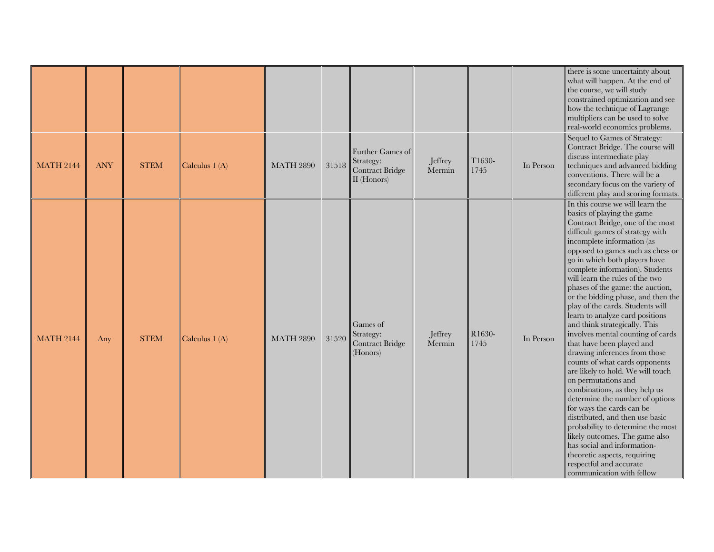|                  |            |             |                 |                  |       |                                                                 |                   |                |           | there is some uncertainty about<br>what will happen. At the end of<br>the course, we will study<br>constrained optimization and see<br>how the technique of Lagrange<br>multipliers can be used to solve<br>real-world economics problems.<br>Sequel to Games of Strategy:                                                                                                                                                                                                                                                                                                                                                                                                                                                                                                                                                                                                                                                                                                                                                            |
|------------------|------------|-------------|-----------------|------------------|-------|-----------------------------------------------------------------|-------------------|----------------|-----------|---------------------------------------------------------------------------------------------------------------------------------------------------------------------------------------------------------------------------------------------------------------------------------------------------------------------------------------------------------------------------------------------------------------------------------------------------------------------------------------------------------------------------------------------------------------------------------------------------------------------------------------------------------------------------------------------------------------------------------------------------------------------------------------------------------------------------------------------------------------------------------------------------------------------------------------------------------------------------------------------------------------------------------------|
| <b>MATH 2144</b> | <b>ANY</b> | <b>STEM</b> | Calculus 1 (A)  | <b>MATH 2890</b> | 31518 | Further Games of<br>Strategy:<br>Contract Bridge<br>II (Honors) | Jeffrey<br>Mermin | T1630-<br>1745 | In Person | Contract Bridge. The course will<br>discuss intermediate play<br>techniques and advanced bidding<br>conventions. There will be a<br>secondary focus on the variety of<br>different play and scoring formats.                                                                                                                                                                                                                                                                                                                                                                                                                                                                                                                                                                                                                                                                                                                                                                                                                          |
| <b>MATH 2144</b> | Any        | <b>STEM</b> | Calculus $1(A)$ | <b>MATH 2890</b> | 31520 | Games of<br>Strategy:<br><b>Contract Bridge</b><br>(Honors)     | Jeffrey<br>Mermin | R1630-<br>1745 | In Person | In this course we will learn the<br>basics of playing the game<br>Contract Bridge, one of the most<br>difficult games of strategy with<br>incomplete information (as<br>opposed to games such as chess or<br>go in which both players have<br>complete information). Students<br>will learn the rules of the two<br>phases of the game: the auction,<br>or the bidding phase, and then the<br>play of the cards. Students will<br>learn to analyze card positions<br>and think strategically. This<br>involves mental counting of cards<br>that have been played and<br>drawing inferences from those<br>counts of what cards opponents<br>are likely to hold. We will touch<br>on permutations and<br>combinations, as they help us<br>determine the number of options<br>for ways the cards can be<br>distributed, and then use basic<br>probability to determine the most<br>likely outcomes. The game also<br>has social and information-<br>theoretic aspects, requiring<br>respectful and accurate<br>communication with fellow |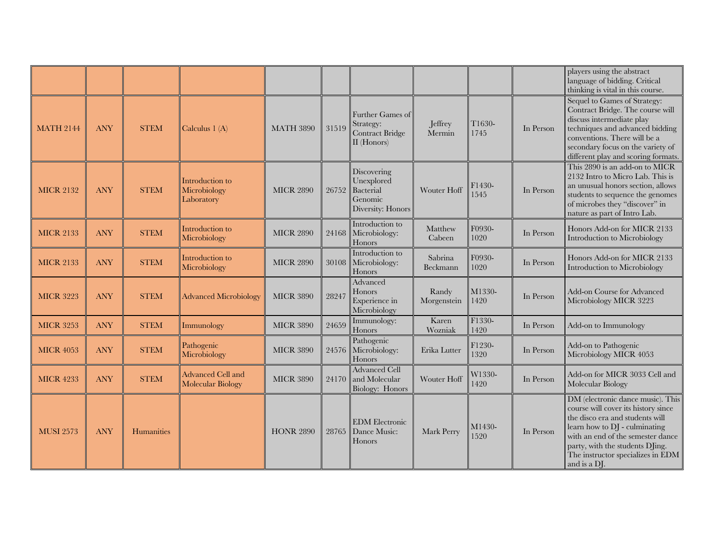|                  |            |             |                                               |                  |       |                                                                        |                      |                |           | players using the abstract<br>language of bidding. Critical<br>thinking is vital in this course.                                                                                                                                                                          |
|------------------|------------|-------------|-----------------------------------------------|------------------|-------|------------------------------------------------------------------------|----------------------|----------------|-----------|---------------------------------------------------------------------------------------------------------------------------------------------------------------------------------------------------------------------------------------------------------------------------|
| <b>MATH 2144</b> | <b>ANY</b> | <b>STEM</b> | Calculus 1 (A)                                | <b>MATH 3890</b> | 31519 | Further Games of<br>Strategy:<br>Contract Bridge<br>II (Honors)        | Jeffrey<br>Mermin    | T1630-<br>1745 | In Person | Sequel to Games of Strategy:<br>Contract Bridge. The course will<br>discuss intermediate play<br>techniques and advanced bidding<br>conventions. There will be a<br>secondary focus on the variety of<br>different play and scoring formats.                              |
| <b>MICR 2132</b> | <b>ANY</b> | <b>STEM</b> | Introduction to<br>Microbiology<br>Laboratory | <b>MICR 2890</b> | 26752 | Discovering<br>Unexplored<br>Bacterial<br>Genomic<br>Diversity: Honors | Wouter Hoff          | F1430-<br>1545 | In Person | This 2890 is an add-on to MICR<br>2132 Intro to Micro Lab. This is<br>an unusual honors section, allows<br>students to sequence the genomes<br>of microbes they "discover" in<br>nature as part of Intro Lab.                                                             |
| <b>MICR 2133</b> | <b>ANY</b> | <b>STEM</b> | Introduction to<br>Microbiology               | <b>MICR 2890</b> | 24168 | Introduction to<br>Microbiology:<br>Honors                             | Matthew<br>Cabeen    | F0930-<br>1020 | In Person | Honors Add-on for MICR 2133<br>Introduction to Microbiology                                                                                                                                                                                                               |
| <b>MICR 2133</b> | <b>ANY</b> | <b>STEM</b> | Introduction to<br>Microbiology               | <b>MICR 2890</b> | 30108 | Introduction to<br>Microbiology:<br>Honors                             | Sabrina<br>Beckmann  | F0930-<br>1020 | In Person | Honors Add-on for MICR 2133<br>Introduction to Microbiology                                                                                                                                                                                                               |
| <b>MICR 3223</b> | <b>ANY</b> | <b>STEM</b> | <b>Advanced Microbiology</b>                  | <b>MICR 3890</b> | 28247 | Advanced<br>Honors<br>Experience in<br>Microbiology                    | Randy<br>Morgenstein | M1330-<br>1420 | In Person | Add-on Course for Advanced<br>Microbiology MICR 3223                                                                                                                                                                                                                      |
| <b>MICR 3253</b> | <b>ANY</b> | <b>STEM</b> | Immunology                                    | <b>MICR 3890</b> | 24659 | Immunology:<br>Honors                                                  | Karen<br>Wozniak     | F1330-<br>1420 | In Person | Add-on to Immunology                                                                                                                                                                                                                                                      |
| <b>MICR 4053</b> | <b>ANY</b> | <b>STEM</b> | Pathogenic<br>Microbiology                    | <b>MICR 3890</b> | 24576 | Pathogenic<br>Microbiology:<br>Honors                                  | Erika Lutter         | F1230-<br>1320 | In Person | Add-on to Pathogenic<br>Microbiology MICR 4053                                                                                                                                                                                                                            |
| <b>MICR 4233</b> | <b>ANY</b> | <b>STEM</b> | Advanced Cell and<br><b>Molecular Biology</b> | <b>MICR 3890</b> | 24170 | <b>Advanced Cell</b><br>and Molecular<br>Biology: Honors               | Wouter Hoff          | W1330-<br>1420 | In Person | Add-on for MICR 3033 Cell and<br>Molecular Biology                                                                                                                                                                                                                        |
| <b>MUSI 2573</b> | <b>ANY</b> | Humanities  |                                               | <b>HONR 2890</b> | 28765 | <b>EDM</b> Electronic<br>Dance Music:<br>Honors                        | Mark Perry           | M1430-<br>1520 | In Person | DM (electronic dance music). This<br>course will cover its history since<br>the disco era and students will<br>learn how to DJ - culminating<br>with an end of the semester dance<br>party, with the students DJing.<br>The instructor specializes in EDM<br>and is a DJ. |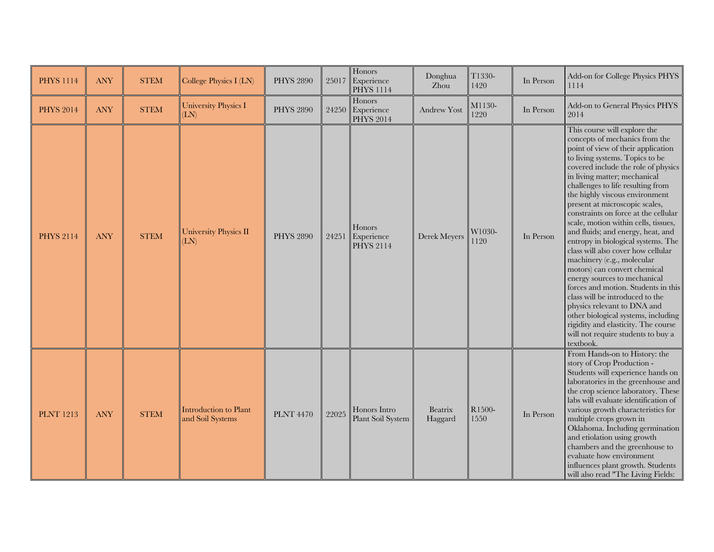| <b>PHYS 1114</b> | <b>ANY</b> | <b>STEM</b> | College Physics I (LN)                                     | <b>PHYS 2890</b> | 25017 | Honors<br>Experience<br><b>PHYS 1114</b> | Donghua<br>Zhou    | T1330-<br>1420 | In Person | Add-on for College Physics PHYS<br>1114                                                                                                                                                                                                                                                                                                                                                                                                                                                                                                                                                                                                                                                                                                                                                                                                                          |
|------------------|------------|-------------|------------------------------------------------------------|------------------|-------|------------------------------------------|--------------------|----------------|-----------|------------------------------------------------------------------------------------------------------------------------------------------------------------------------------------------------------------------------------------------------------------------------------------------------------------------------------------------------------------------------------------------------------------------------------------------------------------------------------------------------------------------------------------------------------------------------------------------------------------------------------------------------------------------------------------------------------------------------------------------------------------------------------------------------------------------------------------------------------------------|
| <b>PHYS 2014</b> | ANY        | <b>STEM</b> | <b>University Physics I</b><br>(LN)                        | <b>PHYS 2890</b> | 24250 | Honors<br>Experience<br><b>PHYS 2014</b> | <b>Andrew Yost</b> | M1130-<br>1220 | In Person | Add-on to General Physics PHYS<br>2014                                                                                                                                                                                                                                                                                                                                                                                                                                                                                                                                                                                                                                                                                                                                                                                                                           |
| <b>PHYS 2114</b> | <b>ANY</b> | <b>STEM</b> | <b>University Physics II</b><br>$\left(\mathrm{LN}\right)$ | <b>PHYS 2890</b> | 24251 | Honors<br>Experience<br><b>PHYS 2114</b> | Derek Meyers       | W1030-<br>1120 | In Person | This course will explore the<br>concepts of mechanics from the<br>point of view of their application<br>to living systems. Topics to be<br>covered include the role of physics<br>in living matter; mechanical<br>challenges to life resulting from<br>the highly viscous environment<br>present at microscopic scales,<br>constraints on force at the cellular<br>scale, motion within cells, tissues,<br>and fluids; and energy, heat, and<br>entropy in biological systems. The<br>class will also cover how cellular<br>machinery (e.g., molecular<br>motors) can convert chemical<br>energy sources to mechanical<br>forces and motion. Students in this<br>class will be introduced to the<br>physics relevant to DNA and<br>other biological systems, including<br>rigidity and elasticity. The course<br>will not require students to buy a<br>textbook. |
|                  |            |             |                                                            |                  |       |                                          |                    |                |           | From Hands-on to History: the<br>story of Crop Production -                                                                                                                                                                                                                                                                                                                                                                                                                                                                                                                                                                                                                                                                                                                                                                                                      |
| <b>PLNT</b> 1213 | <b>ANY</b> | <b>STEM</b> | Introduction to Plant<br>and Soil Systems                  | <b>PLNT 4470</b> | 22025 | Honors Intro<br>Plant Soil System        | Beatrix<br>Haggard | R1500-<br>1550 | In Person | Students will experience hands on<br>laboratories in the greenhouse and<br>the crop science laboratory. These<br>labs will evaluate identification of<br>various growth characteristics for<br>multiple crops grown in<br>Oklahoma. Including germination<br>and etiolation using growth<br>chambers and the greenhouse to<br>evaluate how environment<br>influences plant growth. Students<br>will also read "The Living Fields:                                                                                                                                                                                                                                                                                                                                                                                                                                |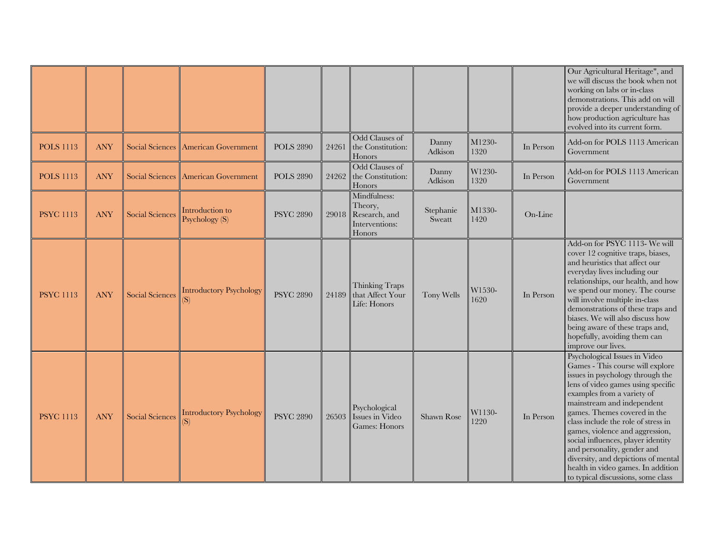|                  |            |                        |                                       |                  |       |                                                                            |                     |                |           | Our Agricultural Heritage", and<br>we will discuss the book when not<br>working on labs or in-class<br>demonstrations. This add on will<br>provide a deeper understanding of<br>how production agriculture has<br>evolved into its current form.                                                                                                                                                                                                                                                          |
|------------------|------------|------------------------|---------------------------------------|------------------|-------|----------------------------------------------------------------------------|---------------------|----------------|-----------|-----------------------------------------------------------------------------------------------------------------------------------------------------------------------------------------------------------------------------------------------------------------------------------------------------------------------------------------------------------------------------------------------------------------------------------------------------------------------------------------------------------|
| <b>POLS 1113</b> | <b>ANY</b> |                        | Social Sciences American Government   | <b>POLS 2890</b> | 24261 | Odd Clauses of<br>the Constitution:<br>Honors                              | Danny<br>Adkison    | M1230-<br>1320 | In Person | Add-on for POLS 1113 American<br>Government                                                                                                                                                                                                                                                                                                                                                                                                                                                               |
| <b>POLS 1113</b> | <b>ANY</b> |                        | Social Sciences American Government   | <b>POLS 2890</b> | 24262 | Odd Clauses of<br>the Constitution:<br>Honors                              | Danny<br>Adkison    | W1230-<br>1320 | In Person | Add-on for POLS 1113 American<br>Government                                                                                                                                                                                                                                                                                                                                                                                                                                                               |
| <b>PSYC 1113</b> | <b>ANY</b> | <b>Social Sciences</b> | Introduction to<br>Psychology (S)     | <b>PSYC 2890</b> |       | Mindfulness:<br>Theory,<br>29018 Research, and<br>Interventions:<br>Honors | Stephanie<br>Sweatt | M1330-<br>1420 | On-Line   |                                                                                                                                                                                                                                                                                                                                                                                                                                                                                                           |
| <b>PSYC 1113</b> | <b>ANY</b> | <b>Social Sciences</b> | <b>Introductory Psychology</b><br>'S) | <b>PSYC 2890</b> | 24189 | <b>Thinking Traps</b><br>that Affect Your<br>Life: Honors                  | Tony Wells          | W1530-<br>1620 | In Person | Add-on for PSYC 1113- We will<br>cover 12 cognitive traps, biases,<br>and heuristics that affect our<br>everyday lives including our<br>relationships, our health, and how<br>we spend our money. The course<br>will involve multiple in-class<br>demonstrations of these traps and<br>biases. We will also discuss how<br>being aware of these traps and,<br>hopefully, avoiding them can<br>improve our lives.                                                                                          |
| <b>PSYC 1113</b> | <b>ANY</b> | <b>Social Sciences</b> | <b>Introductory Psychology</b><br>'S) | <b>PSYC 2890</b> | 26503 | Psychological<br>Issues in Video<br>Games: Honors                          | Shawn Rose          | W1130-<br>1220 | In Person | Psychological Issues in Video<br>Games - This course will explore<br>issues in psychology through the<br>lens of video games using specific<br>examples from a variety of<br>mainstream and independent<br>games. Themes covered in the<br>class include the role of stress in<br>games, violence and aggression,<br>social influences, player identity<br>and personality, gender and<br>diversity, and depictions of mental<br>health in video games. In addition<br>to typical discussions, some class |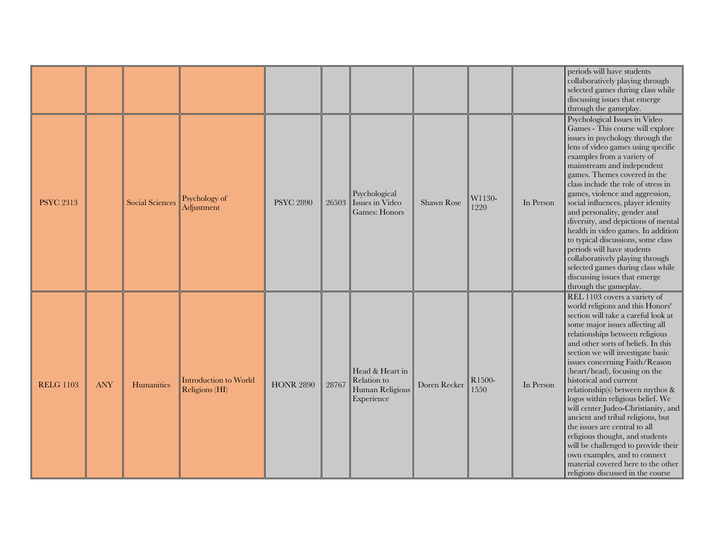|                  |            |                        |                                                |                  |       |                                                                 |              |                |           | periods will have students<br>collaboratively playing through<br>selected games during class while<br>discussing issues that emerge<br>through the gameplay.                                                                                                                                                                                                                                                                                                                                                                                                                                                                                                                                                                      |
|------------------|------------|------------------------|------------------------------------------------|------------------|-------|-----------------------------------------------------------------|--------------|----------------|-----------|-----------------------------------------------------------------------------------------------------------------------------------------------------------------------------------------------------------------------------------------------------------------------------------------------------------------------------------------------------------------------------------------------------------------------------------------------------------------------------------------------------------------------------------------------------------------------------------------------------------------------------------------------------------------------------------------------------------------------------------|
| <b>PSYC 2313</b> |            | <b>Social Sciences</b> | Psychology of<br>Adjustment                    | <b>PSYC 2890</b> | 26503 | Psychological<br>Issues in Video<br>Games: Honors               | Shawn Rose   | W1130-<br>1220 | In Person | Psychological Issues in Video<br>Games - This course will explore<br>issues in psychology through the<br>lens of video games using specific<br>examples from a variety of<br>mainstream and independent<br>games. Themes covered in the<br>class include the role of stress in<br>games, violence and aggression,<br>social influences, player identity<br>and personality, gender and<br>diversity, and depictions of mental<br>health in video games. In addition<br>to typical discussions, some class<br>periods will have students<br>collaboratively playing through<br>selected games during class while<br>discussing issues that emerge<br>through the gameplay.                                                         |
| <b>RELG 1103</b> | <b>ANY</b> | <b>Humanities</b>      | <b>Introduction to World</b><br>Religions (HI) | <b>HONR 2890</b> | 28767 | Head & Heart in<br>Relation to<br>Human Religious<br>Experience | Doren Recker | R1500-<br>1550 | In Person | REL 1103 covers a variety of<br>world religions and this Honors'<br>section will take a careful look at<br>some major issues affecting all<br>relationships between religious<br>and other sorts of beliefs. In this<br>section we will investigate basic<br>issues concerning Faith/Reason<br>(heart/head), focusing on the<br>historical and current<br>relationship(s) between mythos &<br>logos within religious belief. We<br>will center Judeo-Christianity, and<br>ancient and tribal religions, but<br>the issues are central to all<br>religious thought, and students<br>will be challenged to provide their<br>own examples, and to connect<br>material covered here to the other<br>religions discussed in the course |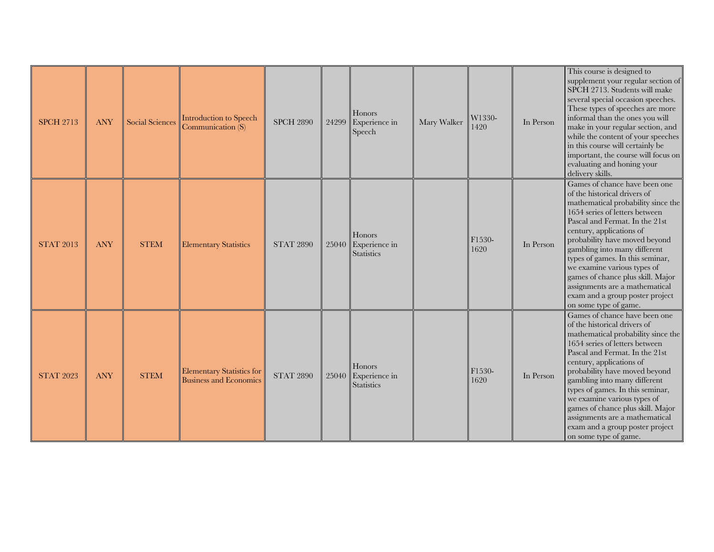| <b>SPCH 2713</b> | <b>ANY</b> | <b>Social Sciences</b> | <b>Introduction to Speech</b><br>Communication (S)                | <b>SPCH 2890</b> | 24299 | Honors<br>Experience in<br>Speech            | Mary Walker | W1330-<br>1420 | In Person | This course is designed to<br>supplement your regular section of<br>SPCH 2713. Students will make<br>several special occasion speeches.<br>These types of speeches are more<br>informal than the ones you will<br>make in your regular section, and<br>while the content of your speeches<br>in this course will certainly be<br>important, the course will focus on<br>evaluating and honing your<br>delivery skills.                                                     |
|------------------|------------|------------------------|-------------------------------------------------------------------|------------------|-------|----------------------------------------------|-------------|----------------|-----------|----------------------------------------------------------------------------------------------------------------------------------------------------------------------------------------------------------------------------------------------------------------------------------------------------------------------------------------------------------------------------------------------------------------------------------------------------------------------------|
| <b>STAT 2013</b> | <b>ANY</b> | <b>STEM</b>            | <b>Elementary Statistics</b>                                      | <b>STAT 2890</b> | 25040 | Honors<br>Experience in<br><b>Statistics</b> |             | F1530-<br>1620 | In Person | Games of chance have been one<br>of the historical drivers of<br>mathematical probability since the<br>1654 series of letters between<br>Pascal and Fermat. In the 21st<br>century, applications of<br>probability have moved beyond<br>gambling into many different<br>types of games. In this seminar,<br>we examine various types of<br>games of chance plus skill. Major<br>assignments are a mathematical<br>exam and a group poster project<br>on some type of game. |
| <b>STAT 2023</b> | <b>ANY</b> | <b>STEM</b>            | <b>Elementary Statistics for</b><br><b>Business and Economics</b> | <b>STAT 2890</b> | 25040 | Honors<br>Experience in<br><b>Statistics</b> |             | F1530-<br>1620 | In Person | Games of chance have been one<br>of the historical drivers of<br>mathematical probability since the<br>1654 series of letters between<br>Pascal and Fermat. In the 21st<br>century, applications of<br>probability have moved beyond<br>gambling into many different<br>types of games. In this seminar,<br>we examine various types of<br>games of chance plus skill. Major<br>assignments are a mathematical<br>exam and a group poster project<br>on some type of game. |